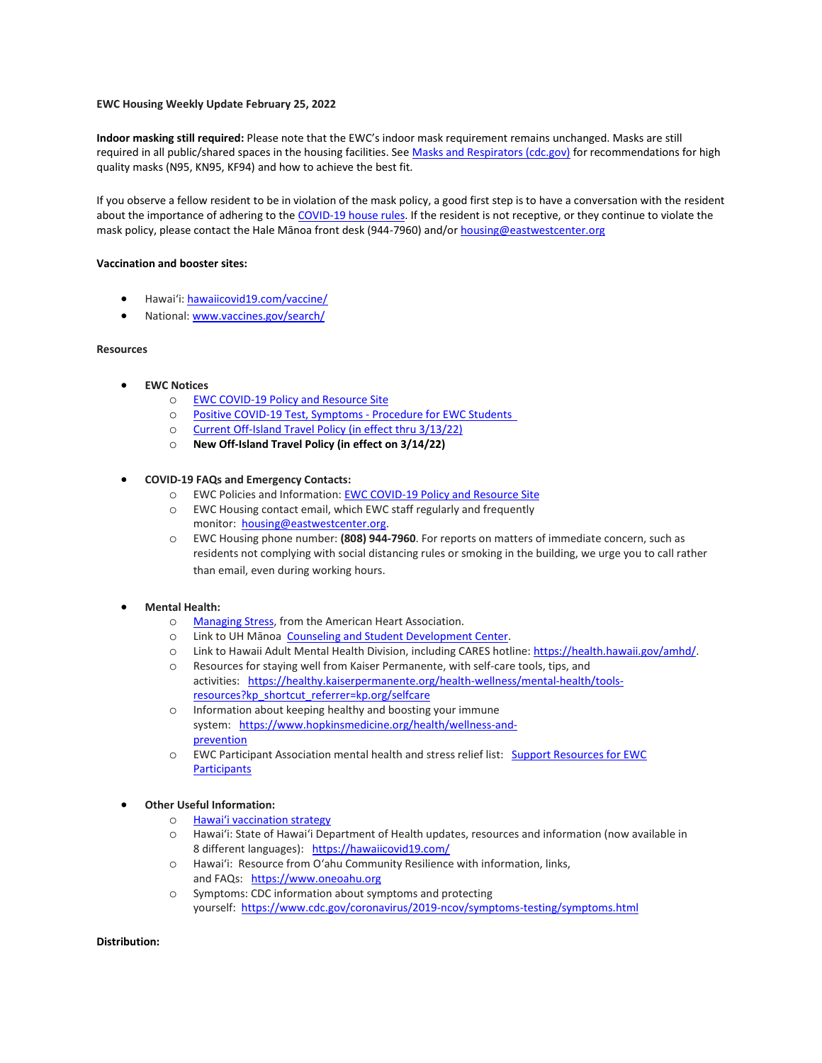#### **EWC Housing Weekly Update February 25, 2022**

**Indoor masking still required:** Please note that the EWC's indoor mask requirement remains unchanged. Masks are still required in all public/shared spaces in the housing facilities. See [Masks and Respirators \(cdc.gov\)](https://urldefense.proofpoint.com/v2/url?u=https-3A__www.cdc.gov_coronavirus_2019-2Dncov_prevent-2Dgetting-2Dsick_types-2Dof-2Dmasks.html&d=DwMFaQ&c=euGZstcaTDllvimEN8b7jXrwqOf-v5A_CdpgnVfiiMM&r=sjCoHaVUe8_a1MXsziR411ri4sB3BX3q50L3el6sXMQ&m=sGSUAMNAftxDZYI8tuAUN5c6laW7AWhNDrQ49Ut90aA&s=VsGWHcyz9Dxh7LC9YUiXzHvMWTccB4zqxJKWFFYFNnQ&e=) for recommendations for high quality masks (N95, KN95, KF94) and how to achieve the best fit.

If you observe a fellow resident to be in violation of the mask policy, a good first step is to have a conversation with the resident about the importance of adhering to the [COVID-19 house rules.](https://urldefense.proofpoint.com/v2/url?u=https-3A__ewcparticipantinfo.org_wp-2Dcontent_uploads_2021_06_EWC-2DCOVID-2D19-2DHousing-2DRules-2DUpdated-2D6.2.pdf&d=DwMFaQ&c=euGZstcaTDllvimEN8b7jXrwqOf-v5A_CdpgnVfiiMM&r=sjCoHaVUe8_a1MXsziR411ri4sB3BX3q50L3el6sXMQ&m=sGSUAMNAftxDZYI8tuAUN5c6laW7AWhNDrQ49Ut90aA&s=13UMnPDpUDG6H4Vka7hlRv1jA2sa7D5-9sboafnw_eQ&e=) If the resident is not receptive, or they continue to violate the mask policy, please contact the Hale Mānoa front desk (944-7960) and/o[r housing@eastwestcenter.org](mailto:housing@eastwestcenter.org)

#### **Vaccination and booster sites:**

- Hawaiʻi: [hawaiicovid19.com/vaccine/](https://hawaiicovid19.com/vaccine/)
- National[: www.vaccines.gov/search/](https://urldefense.proofpoint.com/v2/url?u=https-3A__www.vaccines.gov_search_&d=DwMFaQ&c=euGZstcaTDllvimEN8b7jXrwqOf-v5A_CdpgnVfiiMM&r=sjCoHaVUe8_a1MXsziR411ri4sB3BX3q50L3el6sXMQ&m=sGSUAMNAftxDZYI8tuAUN5c6laW7AWhNDrQ49Ut90aA&s=WQkYpezrZM9YM1wMk43bFPEVJ8kA_f8DQoAdMKPhhd4&e=)

#### **Resources**

- **EWC Notices**
	- o [EWC COVID-19 Policy and Resource Site](https://urldefense.proofpoint.com/v2/url?u=https-3A__ewcparticipantinfo.org_covid-2D19_&d=DwMFaQ&c=euGZstcaTDllvimEN8b7jXrwqOf-v5A_CdpgnVfiiMM&r=3FPQcXK5sxYRrGCCxQc5PNSb-_SuaL_bSgfyHLgu3XI&m=NeEuRGBZcB6XdPpyhoUn4swvNjBnveDWGZ1brp8cIwI&s=psWXjZhChjGDJkHaOVt2bwTJxxk1NVhXgu70sXTpbpE&e=)
	- o Positive COVID-19 [Test, Symptoms](https://urldefense.proofpoint.com/v2/url?u=https-3A__ewcparticipantinfo.org_wp-2Dcontent_uploads_2021_11_Positive-2DTest-2DSymptoms-2DProcedure-2Dfor-2DStudents.pdf&d=DwMFaQ&c=euGZstcaTDllvimEN8b7jXrwqOf-v5A_CdpgnVfiiMM&r=sjCoHaVUe8_a1MXsziR411ri4sB3BX3q50L3el6sXMQ&m=sGSUAMNAftxDZYI8tuAUN5c6laW7AWhNDrQ49Ut90aA&s=SqEvayb04OTTrODuiSxE62rP3c1NbhjDXCNYVAq49nk&e=) Procedure for EWC Students
	- o [Current Off-Island Travel Policy \(in effect thru 3/13/22\)](https://urldefense.proofpoint.com/v2/url?u=https-3A__ewcparticipantinfo.org_wp-2Dcontent_uploads_2021_11_Travel-2DPolicy-2Dfor-2DStudents-2DUpdated11-2D3-2D21.pdf&d=DwMFaQ&c=euGZstcaTDllvimEN8b7jXrwqOf-v5A_CdpgnVfiiMM&r=sjCoHaVUe8_a1MXsziR411ri4sB3BX3q50L3el6sXMQ&m=sGSUAMNAftxDZYI8tuAUN5c6laW7AWhNDrQ49Ut90aA&s=5FgfG2hRdqXzEAwi0lzgewHYUo9sXXExGeZusFfjILY&e=)
	- o **[New Off-Island Travel Policy \(in effect on 3/14/22\)](https://urldefense.proofpoint.com/v2/url?u=https-3A__ewcparticipantinfo.org_wp-2Dcontent_uploads_2022_02_Travel-2DPolicy-2DUpdated-2D3.14.22.pdf&d=DwMFaQ&c=euGZstcaTDllvimEN8b7jXrwqOf-v5A_CdpgnVfiiMM&r=sjCoHaVUe8_a1MXsziR411ri4sB3BX3q50L3el6sXMQ&m=sGSUAMNAftxDZYI8tuAUN5c6laW7AWhNDrQ49Ut90aA&s=8YXgVyTHTtcy_eCT1wEc7JPSiBOVBeQZAQdnh7tWZqw&e=)**

# • **COVID-19 FAQs and Emergency Contacts:**

- o EWC Policies and Information: [EWC COVID-19 Policy and Resource Site](https://urldefense.proofpoint.com/v2/url?u=https-3A__ewcparticipantinfo.org_covid-2D19_&d=DwMFaQ&c=euGZstcaTDllvimEN8b7jXrwqOf-v5A_CdpgnVfiiMM&r=3FPQcXK5sxYRrGCCxQc5PNSb-_SuaL_bSgfyHLgu3XI&m=NeEuRGBZcB6XdPpyhoUn4swvNjBnveDWGZ1brp8cIwI&s=psWXjZhChjGDJkHaOVt2bwTJxxk1NVhXgu70sXTpbpE&e=)
- o EWC Housing contact email, which EWC staff regularly and frequently monitor: housing@eastwestcenter.org.
- o EWC Housing phone number: **(808) 944-7960**. For reports on matters of immediate concern, such as residents not complying with social distancing rules or smoking in the building, we urge you to call rather than email, even during working hours.

# • **Mental Health:**

- o [Managing Stress,](https://urldefense.proofpoint.com/v2/url?u=https-3A__www.heart.org_en_healthy-2Dliving_healthy-2Dlifestyle_stress-2Dmanagement_3-2Dtips-2Dto-2Dmanage-2Dstress&d=DwMFaQ&c=euGZstcaTDllvimEN8b7jXrwqOf-v5A_CdpgnVfiiMM&r=3FPQcXK5sxYRrGCCxQc5PNSb-_SuaL_bSgfyHLgu3XI&m=DFa_g2AmhabelwvrqHcTxuYqCMz5HzQYOl-ITmKQUfY&s=brkk3h1YsapP-lIVcxt7MNYAlm4bQtz7YKIJGofeUkY&e=) from the American Heart Association.
- o Link to UH Mānoa [Counseling and Student Development Center.](https://urldefense.proofpoint.com/v2/url?u=http-3A__www.manoa.hawaii.edu_counseling&d=DwMFaQ&c=euGZstcaTDllvimEN8b7jXrwqOf-v5A_CdpgnVfiiMM&r=3FPQcXK5sxYRrGCCxQc5PNSb-_SuaL_bSgfyHLgu3XI&m=am0JUX--VmENU0jPP_iW6ma-yLR9-vpVCXYuYLP_pnQ&s=KLUr2I-87m8x7gT-LRZ1FsUmDxTlS04cGYG1bEY4eOo&e=)
- o Link to Hawaii Adult Mental Health Division, including CARES hotline: [https://health.hawaii.gov/amhd/.](https://urldefense.proofpoint.com/v2/url?u=https-3A__health.hawaii.gov_amhd_&d=DwMFaQ&c=euGZstcaTDllvimEN8b7jXrwqOf-v5A_CdpgnVfiiMM&r=3FPQcXK5sxYRrGCCxQc5PNSb-_SuaL_bSgfyHLgu3XI&m=am0JUX--VmENU0jPP_iW6ma-yLR9-vpVCXYuYLP_pnQ&s=jGly2XqRyYGfSfcDeFQPHXOriK3LXX4ijFkZpV1I3l0&e=)
- o Resources for staying well from Kaiser Permanente, with self-care tools, tips, and activities: [https://healthy.kaiserpermanente.org/health-wellness/mental-health/tools](https://urldefense.proofpoint.com/v2/url?u=https-3A__healthy.kaiserpermanente.org_health-2Dwellness_mental-2Dhealth_tools-2Dresources-3Fkp-5Fshortcut-5Freferrer-3Dkp.org_selfcare&d=DwMFaQ&c=euGZstcaTDllvimEN8b7jXrwqOf-v5A_CdpgnVfiiMM&r=3FPQcXK5sxYRrGCCxQc5PNSb-_SuaL_bSgfyHLgu3XI&m=Rbwxxn-uK8FQYTkEAvPhMEKvL03Z3qaRx6Mfv78EfmQ&s=WgR2DHjakUKCqJM0vJM8s8S_NAf2yZItFCWP7XTUlcc&e=)[resources?kp\\_shortcut\\_referrer=kp.org/selfcare](https://urldefense.proofpoint.com/v2/url?u=https-3A__healthy.kaiserpermanente.org_health-2Dwellness_mental-2Dhealth_tools-2Dresources-3Fkp-5Fshortcut-5Freferrer-3Dkp.org_selfcare&d=DwMFaQ&c=euGZstcaTDllvimEN8b7jXrwqOf-v5A_CdpgnVfiiMM&r=3FPQcXK5sxYRrGCCxQc5PNSb-_SuaL_bSgfyHLgu3XI&m=Rbwxxn-uK8FQYTkEAvPhMEKvL03Z3qaRx6Mfv78EfmQ&s=WgR2DHjakUKCqJM0vJM8s8S_NAf2yZItFCWP7XTUlcc&e=)
- o Information about keeping healthy and boosting your immune system: [https://www.hopkinsmedicine.org/health/wellness-and](https://urldefense.proofpoint.com/v2/url?u=https-3A__www.hopkinsmedicine.org_health_wellness-2Dand-2Dprevention&d=DwMFaQ&c=euGZstcaTDllvimEN8b7jXrwqOf-v5A_CdpgnVfiiMM&r=fzUXRvrK_egS-3t73UD_VQPWmsmmjR5g7liOveFRwTw&m=xQ1KMiKCgTEeIFLcoiItEyinYylVRMHzLz16Rh2E7OE&s=MLYw596o8ko-W_NETjId73A6wPdC94HCfkzyO-_cxq0&e=)[prevention](https://urldefense.proofpoint.com/v2/url?u=https-3A__www.hopkinsmedicine.org_health_wellness-2Dand-2Dprevention&d=DwMFaQ&c=euGZstcaTDllvimEN8b7jXrwqOf-v5A_CdpgnVfiiMM&r=fzUXRvrK_egS-3t73UD_VQPWmsmmjR5g7liOveFRwTw&m=xQ1KMiKCgTEeIFLcoiItEyinYylVRMHzLz16Rh2E7OE&s=MLYw596o8ko-W_NETjId73A6wPdC94HCfkzyO-_cxq0&e=)
- o EWC Participant Association mental health and stress relief list: [Support Resources for EWC](https://urldefense.proofpoint.com/v2/url?u=https-3A__content.getrave.com_content_5958154_b0e6c8eb-2D04ae-2D4fda-2D8b24-2Dc52d32318225_8d91da0e-2Db462-2D4c5b-2D815f-2D570227036179_Support-5FResources-5Ffor-5FEWC-5FStudents.pdf&d=DwMFaQ&c=euGZstcaTDllvimEN8b7jXrwqOf-v5A_CdpgnVfiiMM&r=fzUXRvrK_egS-3t73UD_VQPWmsmmjR5g7liOveFRwTw&m=xQ1KMiKCgTEeIFLcoiItEyinYylVRMHzLz16Rh2E7OE&s=OP6EvOWHfV2zxF3nz8Y8WTudS4Rae1oYrLMe7eHjJW8&e=)  **[Participants](https://urldefense.proofpoint.com/v2/url?u=https-3A__content.getrave.com_content_5958154_b0e6c8eb-2D04ae-2D4fda-2D8b24-2Dc52d32318225_8d91da0e-2Db462-2D4c5b-2D815f-2D570227036179_Support-5FResources-5Ffor-5FEWC-5FStudents.pdf&d=DwMFaQ&c=euGZstcaTDllvimEN8b7jXrwqOf-v5A_CdpgnVfiiMM&r=fzUXRvrK_egS-3t73UD_VQPWmsmmjR5g7liOveFRwTw&m=xQ1KMiKCgTEeIFLcoiItEyinYylVRMHzLz16Rh2E7OE&s=OP6EvOWHfV2zxF3nz8Y8WTudS4Rae1oYrLMe7eHjJW8&e=)**

# • **Other Useful Information:**

- o [Hawai'i vaccination strategy](https://hawaiicovid19.com/vaccine/)
- o Hawai'i: State of Hawai'i Department of Health updates, resources and information (now available in 8 different languages): <https://hawaiicovid19.com/>
- o Hawai'i: Resource from O'ahu Community Resilience with information, links, and FAQs: [https://www.oneoahu.org](https://urldefense.proofpoint.com/v2/url?u=https-3A__www.oneoahu.org_&d=DwMFaQ&c=euGZstcaTDllvimEN8b7jXrwqOf-v5A_CdpgnVfiiMM&r=fzUXRvrK_egS-3t73UD_VQPWmsmmjR5g7liOveFRwTw&m=xQ1KMiKCgTEeIFLcoiItEyinYylVRMHzLz16Rh2E7OE&s=T6IoRkRV8HpPdel_k38DhTXFaVG9LYf9VcD38Q3iWxc&e=)
- o Symptoms: CDC information about symptoms and protecting yourself: [https://www.cdc.gov/coronavirus/2019-ncov/symptoms-testing/symptoms.html](https://urldefense.proofpoint.com/v2/url?u=https-3A__www.cdc.gov_coronavirus_2019-2Dncov_symptoms-2Dtesting_symptoms.html&d=DwMFaQ&c=euGZstcaTDllvimEN8b7jXrwqOf-v5A_CdpgnVfiiMM&r=3FPQcXK5sxYRrGCCxQc5PNSb-_SuaL_bSgfyHLgu3XI&m=-eCMHMhigliPodXSutnQyjSFavsattim8hAi4RX8Eh8&s=EHYLY0vaXoZbmSWaK_nvKPnTqhqBROqfIbhBe3WiSDs&e=)

**Distribution:**